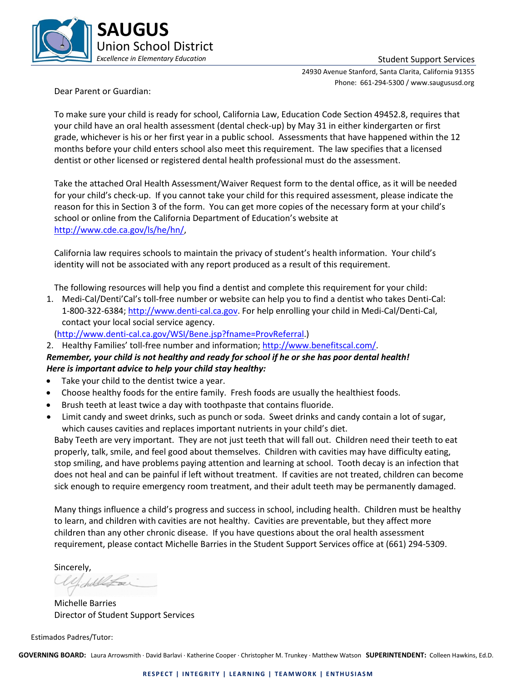

24930 Avenue Stanford, Santa Clarita, California 91355 Phone: 661-294-5300 / www.saugususd.org

Dear Parent or Guardian:

To make sure your child is ready for school, California Law, Education Code Section 49452.8, requires that your child have an oral health assessment (dental check-up) by May 31 in either kindergarten or first grade, whichever is his or her first year in a public school. Assessments that have happened within the 12 months before your child enters school also meet this requirement. The law specifies that a licensed dentist or other licensed or registered dental health professional must do the assessment.

Take the attached Oral Health Assessment/Waiver Request form to the dental office, as it will be needed for your child's check-up. If you cannot take your child for this required assessment, please indicate the reason for this in Section 3 of the form. You can get more copies of the necessary form at your child's school or online from the California Department of Education's website at [http://www.cde.ca.gov/ls/he/hn/,](http://www.cde.ca.gov/ls/he/hn/)

California law requires schools to maintain the privacy of student's health information. Your child's identity will not be associated with any report produced as a result of this requirement.

The following resources will help you find a dentist and complete this requirement for your child:

1. Medi-Cal/Denti'Cal's toll-free number or website can help you to find a dentist who takes Denti-Cal: 1-800-322-6384; [http://www.denti-cal.ca.gov.](http://www.denti-cal.ca.gov/) For help enrolling your child in Medi-Cal/Denti-Cal, contact your local social service agency.

[\(http://www.denti-cal.ca.gov/WSI/Bene.jsp?fname=ProvReferral.](http://www.denti-cal.ca.gov/WSI/Bene.jsp?fname=ProvReferral))

2. Healthy Families' toll-free number and information; [http://www.benefitscal.com/.](http://www.benefitscal.com/)

*Remember, your child is not healthy and ready for school if he or she has poor dental health! Here is important advice to help your child stay healthy:*

- Take your child to the dentist twice a year.
- Choose healthy foods for the entire family. Fresh foods are usually the healthiest foods.
- Brush teeth at least twice a day with toothpaste that contains fluoride.
- Limit candy and sweet drinks, such as punch or soda. Sweet drinks and candy contain a lot of sugar, which causes cavities and replaces important nutrients in your child's diet.

Baby Teeth are very important. They are not just teeth that will fall out. Children need their teeth to eat properly, talk, smile, and feel good about themselves. Children with cavities may have difficulty eating, stop smiling, and have problems paying attention and learning at school. Tooth decay is an infection that does not heal and can be painful if left without treatment. If cavities are not treated, children can become sick enough to require emergency room treatment, and their adult teeth may be permanently damaged.

Many things influence a child's progress and success in school, including health. Children must be healthy to learn, and children with cavities are not healthy. Cavities are preventable, but they affect more children than any other chronic disease. If you have questions about the oral health assessment requirement, please contact Michelle Barries in the Student Support Services office at (661) 294-5309.

Sincerely,

Michelle Barries Director of Student Support Services

Estimados Padres/Tutor:

**GOVERNING BOARD:** Laura Arrowsmith · David Barlavi · Katherine Cooper · Christopher M. Trunkey · Matthew Watson **SUPERINTENDENT:** Colleen Hawkins, Ed.D.